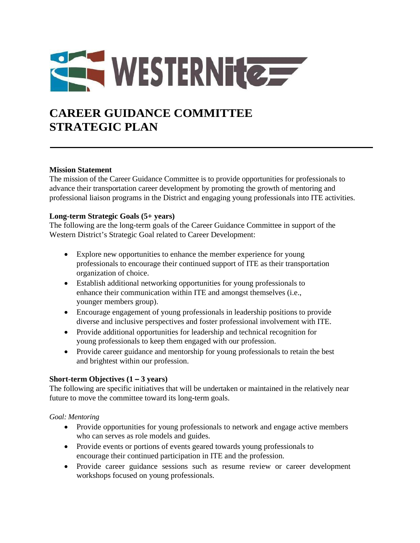# WESTERNITE

## **CAREER GUIDANCE COMMITTEE STRATEGIC PLAN**

#### **Mission Statement**

The mission of the Career Guidance Committee is to provide opportunities for professionals to advance their transportation career development by promoting the growth of mentoring and professional liaison programs in the District and engaging young professionals into ITE activities.

#### **Long-term Strategic Goals (5+ years)**

The following are the long-term goals of the Career Guidance Committee in support of the Western District's Strategic Goal related to Career Development:

- Explore new opportunities to enhance the member experience for young professionals to encourage their continued support of ITE as their transportation organization of choice.
- Establish additional networking opportunities for young professionals to enhance their communication within ITE and amongst themselves (i.e., younger members group).
- Encourage engagement of young professionals in leadership positions to provide diverse and inclusive perspectives and foster professional involvement with ITE.
- Provide additional opportunities for leadership and technical recognition for young professionals to keep them engaged with our profession.
- Provide career guidance and mentorship for young professionals to retain the best and brightest within our profession.

### **Short-term Objectives**  $(1 - 3 \text{ years})$

The following are specific initiatives that will be undertaken or maintained in the relatively near future to move the committee toward its long-term goals.

#### *Goal: Mentoring*

- Provide opportunities for young professionals to network and engage active members who can serves as role models and guides.
- Provide events or portions of events geared towards young professionals to encourage their continued participation in ITE and the profession.
- Provide career guidance sessions such as resume review or career development workshops focused on young professionals.